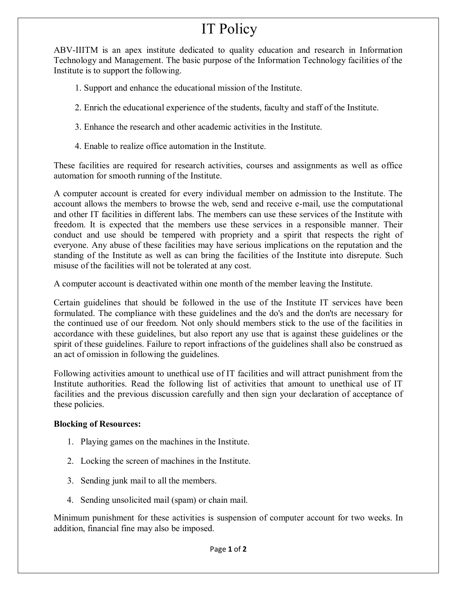# IT Policy

ABV-IIITM is an apex institute dedicated to quality education and research in Information Technology and Management. The basic purpose of the Information Technology facilities of the Institute is to support the following.

- 1. Support and enhance the educational mission of the Institute.
- 2. Enrich the educational experience of the students, faculty and staff of the Institute.
- 3. Enhance the research and other academic activities in the Institute.
- 4. Enable to realize office automation in the Institute.

These facilities are required for research activities, courses and assignments as well as office automation for smooth running of the Institute.

A computer account is created for every individual member on admission to the Institute. The account allows the members to browse the web, send and receive e-mail, use the computational and other IT facilities in different labs. The members can use these services of the Institute with freedom. It is expected that the members use these services in a responsible manner. Their conduct and use should be tempered with propriety and a spirit that respects the right of everyone. Any abuse of these facilities may have serious implications on the reputation and the standing of the Institute as well as can bring the facilities of the Institute into disrepute. Such misuse of the facilities will not be tolerated at any cost.

A computer account is deactivated within one month of the member leaving the Institute.

Certain guidelines that should be followed in the use of the Institute IT services have been formulated. The compliance with these guidelines and the do's and the don'ts are necessary for the continued use of our freedom. Not only should members stick to the use of the facilities in accordance with these guidelines, but also report any use that is against these guidelines or the spirit of these guidelines. Failure to report infractions of the guidelines shall also be construed as an act of omission in following the guidelines.

Following activities amount to unethical use of IT facilities and will attract punishment from the Institute authorities. Read the following list of activities that amount to unethical use of IT facilities and the previous discussion carefully and then sign your declaration of acceptance of these policies.

## **Blocking of Resources:**

- 1. Playing games on the machines in the Institute.
- 2. Locking the screen of machines in the Institute.
- 3. Sending junk mail to all the members.
- 4. Sending unsolicited mail (spam) or chain mail.

Minimum punishment for these activities is suspension of computer account for two weeks. In addition, financial fine may also be imposed.